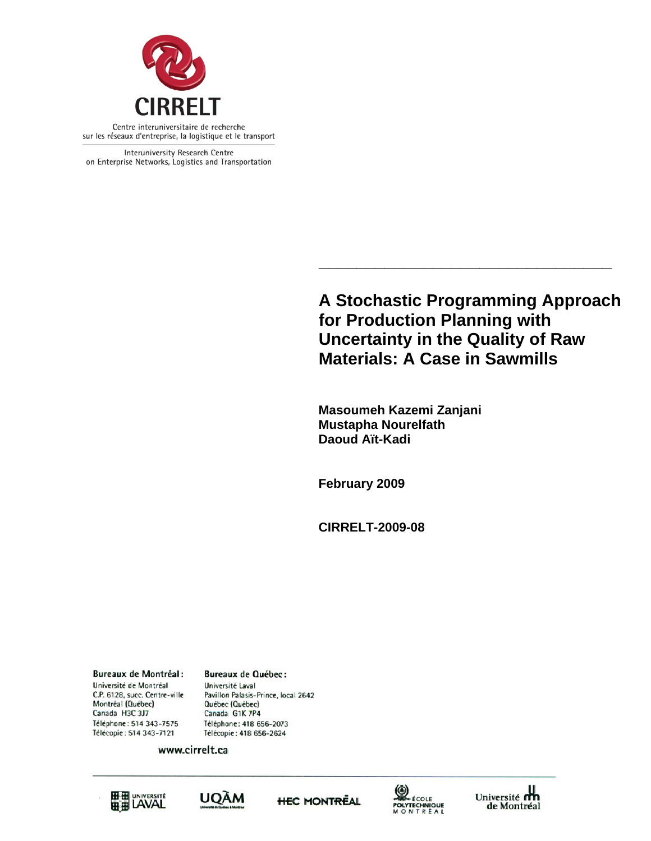

Interuniversity Research Centre on Enterprise Networks, Logistics and Transportation

> **A Stochastic Programming Approach for Production Planning with Uncertainty in the Quality of Raw Materials: A Case in Sawmills**

**\_\_\_\_\_\_\_\_\_\_\_\_\_\_\_\_\_\_\_\_\_\_\_\_\_\_\_\_\_\_\_** 

 **Masoumeh Kazemi Zanjani Mustapha Nourelfath Daoud Aït-Kadi** 

 **February 2009** 

 **CIRRELT-2009-08** 

**Bureaux de Montréal:** Université de Montréal C.P. 6128, succ. Centre-ville Montréal (Québec) Canada H3C 3J7 Téléphone: 514 343-7575 Télécopie: 514 343-7121

**Bureaux de Québec:** Université Laval Pavillon Palasis-Prince, local 2642 Québec (Québec) Canada G1K 7P4 Téléphone: 418 656-2073 Télécopie: 418 656-2624

www.cirrelt.ca









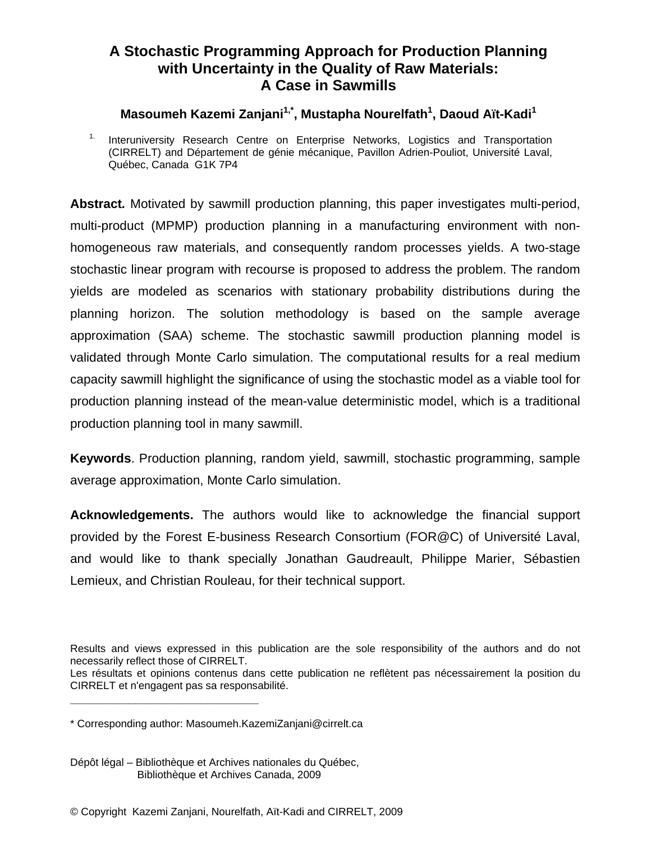# **A Stochastic Programming Approach for Production Planning with Uncertainty in the Quality of Raw Materials: A Case in Sawmills**

**Masoumeh Kazemi Zanjani1,\*, Mustapha Nourelfath1 , Daoud Aït-Kadi<sup>1</sup>**

<sup>1.</sup> Interuniversity Research Centre on Enterprise Networks, Logistics and Transportation (CIRRELT) and Département de génie mécanique, Pavillon Adrien-Pouliot, Université Laval, Québec, Canada G1K 7P4

**Abstract***.* Motivated by sawmill production planning, this paper investigates multi-period, multi-product (MPMP) production planning in a manufacturing environment with nonhomogeneous raw materials, and consequently random processes yields. A two-stage stochastic linear program with recourse is proposed to address the problem. The random yields are modeled as scenarios with stationary probability distributions during the planning horizon. The solution methodology is based on the sample average approximation (SAA) scheme. The stochastic sawmill production planning model is validated through Monte Carlo simulation. The computational results for a real medium capacity sawmill highlight the significance of using the stochastic model as a viable tool for production planning instead of the mean-value deterministic model, which is a traditional production planning tool in many sawmill.

**Keywords**. Production planning, random yield, sawmill, stochastic programming, sample average approximation, Monte Carlo simulation.

**Acknowledgements.** The authors would like to acknowledge the financial support provided by the Forest E-business Research Consortium (FOR@C) of Université Laval, and would like to thank specially Jonathan Gaudreault, Philippe Marier, Sébastien Lemieux, and Christian Rouleau, for their technical support.

Results and views expressed in this publication are the sole responsibility of the authors and do not necessarily reflect those of CIRRELT.

Les résultats et opinions contenus dans cette publication ne reflètent pas nécessairement la position du CIRRELT et n'engagent pas sa responsabilité. **\_\_\_\_\_\_\_\_\_\_\_\_\_\_\_\_\_\_\_\_\_\_\_\_\_\_\_\_\_**

<sup>\*</sup> Corresponding author: Masoumeh.KazemiZanjani@cirrelt.ca

Dépôt légal – Bibliothèque et Archives nationales du Québec, Bibliothèque et Archives Canada, 2009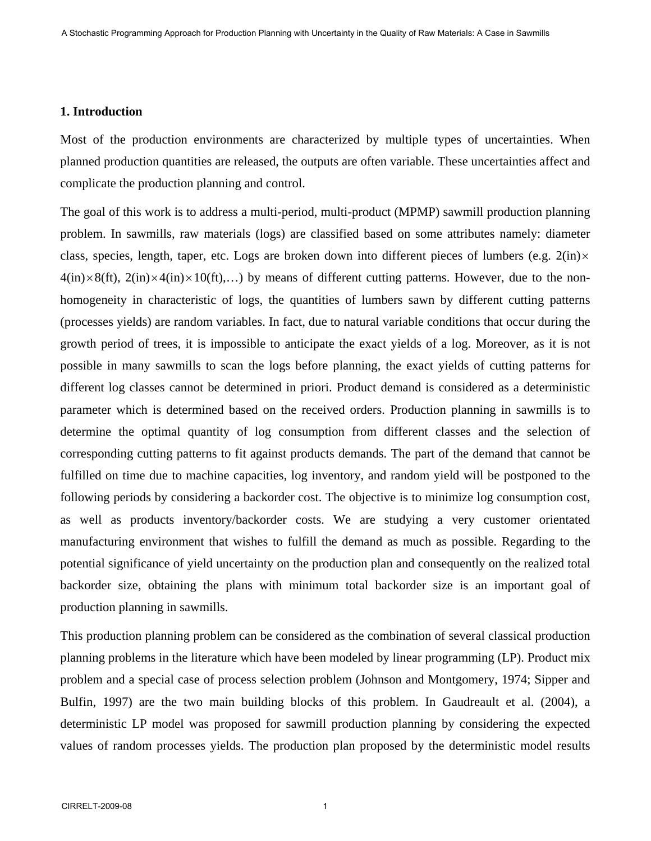## **1. Introduction**

Most of the production environments are characterized by multiple types of uncertainties. When planned production quantities are released, the outputs are often variable. These uncertainties affect and complicate the production planning and control.

The goal of this work is to address a multi-period, multi-product (MPMP) sawmill production planning problem. In sawmills, raw materials (logs) are classified based on some attributes namely: diameter class, species, length, taper, etc. Logs are broken down into different pieces of lumbers (e.g.  $2(in)\times$  $4(in)\times8(ft)$ ,  $2(in)\times4(in)\times10(ft)$ ,...) by means of different cutting patterns. However, due to the nonhomogeneity in characteristic of logs, the quantities of lumbers sawn by different cutting patterns (processes yields) are random variables. In fact, due to natural variable conditions that occur during the growth period of trees, it is impossible to anticipate the exact yields of a log. Moreover, as it is not possible in many sawmills to scan the logs before planning, the exact yields of cutting patterns for different log classes cannot be determined in priori. Product demand is considered as a deterministic parameter which is determined based on the received orders. Production planning in sawmills is to determine the optimal quantity of log consumption from different classes and the selection of corresponding cutting patterns to fit against products demands. The part of the demand that cannot be fulfilled on time due to machine capacities, log inventory, and random yield will be postponed to the following periods by considering a backorder cost. The objective is to minimize log consumption cost, as well as products inventory/backorder costs. We are studying a very customer orientated manufacturing environment that wishes to fulfill the demand as much as possible. Regarding to the potential significance of yield uncertainty on the production plan and consequently on the realized total backorder size, obtaining the plans with minimum total backorder size is an important goal of production planning in sawmills.

This production planning problem can be considered as the combination of several classical production planning problems in the literature which have been modeled by linear programming (LP). Product mix problem and a special case of process selection problem (Johnson and Montgomery, 1974; Sipper and Bulfin, 1997) are the two main building blocks of this problem. In Gaudreault et al. (2004), a deterministic LP model was proposed for sawmill production planning by considering the expected values of random processes yields. The production plan proposed by the deterministic model results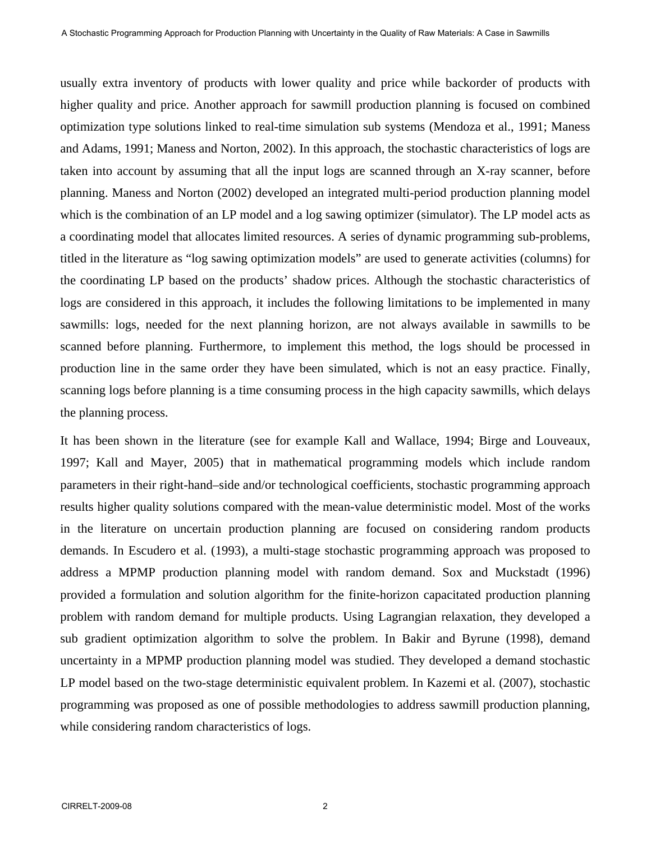usually extra inventory of products with lower quality and price while backorder of products with higher quality and price. Another approach for sawmill production planning is focused on combined optimization type solutions linked to real-time simulation sub systems (Mendoza et al., 1991; Maness and Adams, 1991; Maness and Norton, 2002). In this approach, the stochastic characteristics of logs are taken into account by assuming that all the input logs are scanned through an X-ray scanner, before planning. Maness and Norton (2002) developed an integrated multi-period production planning model which is the combination of an LP model and a log sawing optimizer (simulator). The LP model acts as a coordinating model that allocates limited resources. A series of dynamic programming sub-problems, titled in the literature as "log sawing optimization models" are used to generate activities (columns) for the coordinating LP based on the products' shadow prices. Although the stochastic characteristics of logs are considered in this approach, it includes the following limitations to be implemented in many sawmills: logs, needed for the next planning horizon, are not always available in sawmills to be scanned before planning. Furthermore, to implement this method, the logs should be processed in production line in the same order they have been simulated, which is not an easy practice. Finally, scanning logs before planning is a time consuming process in the high capacity sawmills, which delays the planning process.

It has been shown in the literature (see for example Kall and Wallace, 1994; Birge and Louveaux, 1997; Kall and Mayer, 2005) that in mathematical programming models which include random parameters in their right-hand–side and/or technological coefficients, stochastic programming approach results higher quality solutions compared with the mean-value deterministic model. Most of the works in the literature on uncertain production planning are focused on considering random products demands. In Escudero et al. (1993), a multi-stage stochastic programming approach was proposed to address a MPMP production planning model with random demand. Sox and Muckstadt (1996) provided a formulation and solution algorithm for the finite-horizon capacitated production planning problem with random demand for multiple products. Using Lagrangian relaxation, they developed a sub gradient optimization algorithm to solve the problem. In Bakir and Byrune (1998), demand uncertainty in a MPMP production planning model was studied. They developed a demand stochastic LP model based on the two-stage deterministic equivalent problem. In Kazemi et al. (2007), stochastic programming was proposed as one of possible methodologies to address sawmill production planning, while considering random characteristics of logs.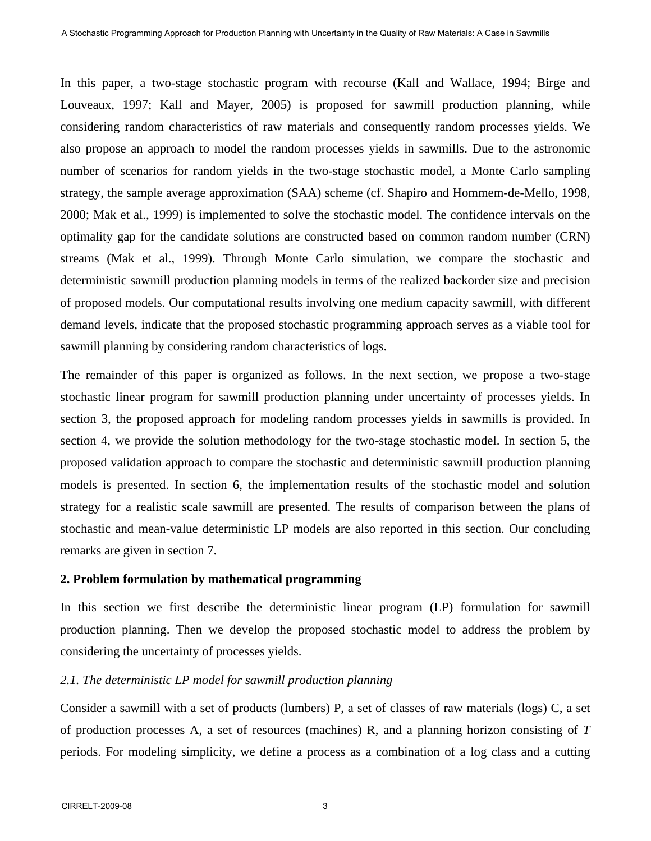In this paper, a two-stage stochastic program with recourse (Kall and Wallace, 1994; Birge and Louveaux, 1997; Kall and Mayer, 2005) is proposed for sawmill production planning, while considering random characteristics of raw materials and consequently random processes yields. We also propose an approach to model the random processes yields in sawmills. Due to the astronomic number of scenarios for random yields in the two-stage stochastic model, a Monte Carlo sampling strategy, the sample average approximation (SAA) scheme (cf. Shapiro and Hommem-de-Mello, 1998, 2000; Mak et al., 1999) is implemented to solve the stochastic model. The confidence intervals on the optimality gap for the candidate solutions are constructed based on common random number (CRN) streams (Mak et al., 1999). Through Monte Carlo simulation, we compare the stochastic and deterministic sawmill production planning models in terms of the realized backorder size and precision of proposed models. Our computational results involving one medium capacity sawmill, with different demand levels, indicate that the proposed stochastic programming approach serves as a viable tool for sawmill planning by considering random characteristics of logs.

The remainder of this paper is organized as follows. In the next section, we propose a two-stage stochastic linear program for sawmill production planning under uncertainty of processes yields. In section 3, the proposed approach for modeling random processes yields in sawmills is provided. In section 4, we provide the solution methodology for the two-stage stochastic model. In section 5, the proposed validation approach to compare the stochastic and deterministic sawmill production planning models is presented. In section 6, the implementation results of the stochastic model and solution strategy for a realistic scale sawmill are presented. The results of comparison between the plans of stochastic and mean-value deterministic LP models are also reported in this section. Our concluding remarks are given in section 7.

## **2. Problem formulation by mathematical programming**

In this section we first describe the deterministic linear program (LP) formulation for sawmill production planning. Then we develop the proposed stochastic model to address the problem by considering the uncertainty of processes yields.

# *2.1. The deterministic LP model for sawmill production planning*

Consider a sawmill with a set of products (lumbers) P, a set of classes of raw materials (logs) C, a set of production processes A, a set of resources (machines) R, and a planning horizon consisting of *T* periods. For modeling simplicity, we define a process as a combination of a log class and a cutting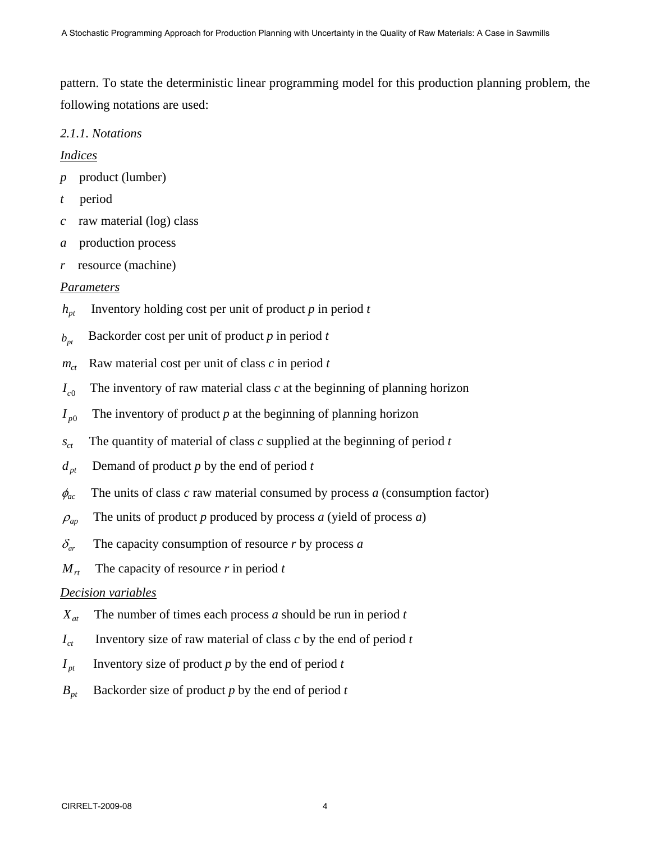pattern. To state the deterministic linear programming model for this production planning problem, the following notations are used:

# *2.1.1. Notations*

# *Indices*

- *p* product (lumber)
- *t* period
- *c* raw material (log) class
- *a* production process
- *r* resource (machine)

# *Parameters*

- $h_{pt}$  Inventory holding cost per unit of product *p* in period *t*
- $b_{nt}$  Backorder cost per unit of product *p* in period *t*
- $m_{ct}$  Raw material cost per unit of class *c* in period *t*
- $I_{c0}$  The inventory of raw material class *c* at the beginning of planning horizon
- $I_{p0}$  The inventory of product *p* at the beginning of planning horizon
- $s_{ct}$  The quantity of material of class *c* supplied at the beginning of period *t*
- $d_{pt}$  Demand of product *p* by the end of period *t*
- $\phi_{ac}$  The units of class *c* raw material consumed by process *a* (consumption factor)
- $\rho_{\text{an}}$  The units of product *p* produced by process *a* (yield of process *a*)
- $\delta_{ar}$  The capacity consumption of resource *r* by process *a*
- $M_{rt}$  The capacity of resource *r* in period *t*

# *Decision variables*

- $X_{at}$  The number of times each process *a* should be run in period *t*
- $I_{ct}$  Inventory size of raw material of class *c* by the end of period *t*
- $I_{nt}$  Inventory size of product *p* by the end of period *t*
- $B_{nt}$  Backorder size of product *p* by the end of period *t*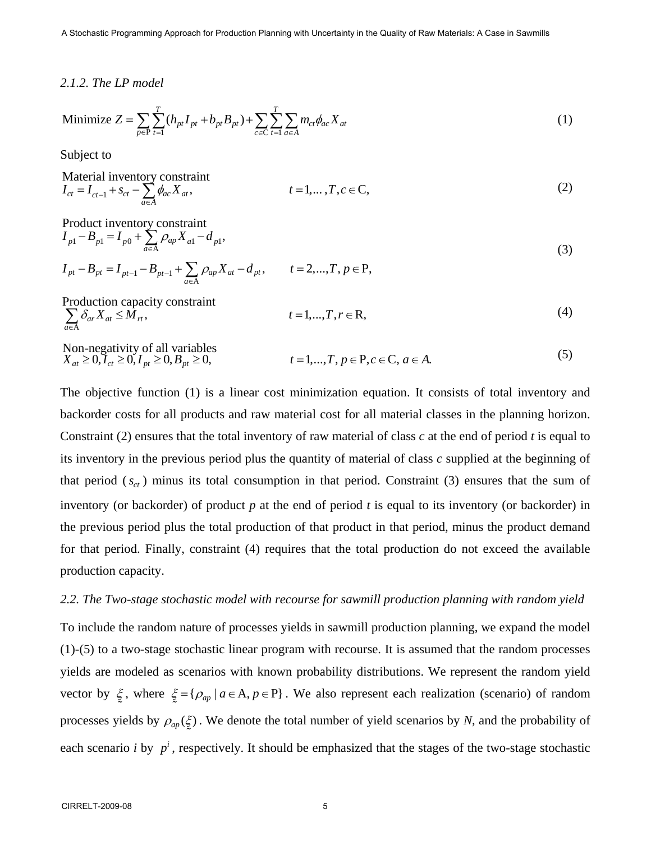A Stochastic Programming Approach for Production Planning with Uncertainty in the Quality of Raw Materials: A Case in Sawmills

#### *2.1.2. The LP model*

Minimize 
$$
Z = \sum_{p \in P} \sum_{t=1}^{T} (h_{pt} I_{pt} + b_{pt} B_{pt}) + \sum_{c \in C} \sum_{t=1}^{T} \sum_{a \in A} m_{ct} \phi_{ac} X_{at}
$$
 (1)

Subject to

$$
\begin{array}{ll}\n\text{Material inventory constraint} \\
I_{ct} = I_{ct-1} + s_{ct} - \sum_{a \in A} \phi_{ac} X_{at}, & t = 1, \dots, T, c \in \mathbb{C},\n\end{array} \tag{2}
$$

Product inventory constraint  
\n
$$
I_{p1} - B_{p1} = I_{p0} + \sum_{a \in A} \rho_{ap} X_{a1} - d_{p1},
$$
  
\n $I_{pt} - B_{pt} = I_{pt-1} - B_{pt-1} + \sum_{a \in A} \rho_{ap} X_{at} - d_{pt}, \qquad t = 2,...,T, p \in P,$ \n(3)

$$
\sum_{a \in A} \delta_{ar} X_{at} \le M_{rt}, \qquad t = 1, ..., T, r \in R,
$$
\n(4)

Non-negativity of all variables 0. 1. Onl-hegativity of an variables<br>  $X_{at} \ge 0, I_{ct} \ge 0, I_{pt} \ge 0, B_{pt} \ge 0,$   $t = 1,...,T, p \in P, c \in C, a \in A.$  (5)

The objective function (1) is a linear cost minimization equation. It consists of total inventory and backorder costs for all products and raw material cost for all material classes in the planning horizon. Constraint (2) ensures that the total inventory of raw material of class *c* at the end of period *t* is equal to its inventory in the previous period plus the quantity of material of class *c* supplied at the beginning of that period  $(s<sub>ct</sub>)$  minus its total consumption in that period. Constraint (3) ensures that the sum of inventory (or backorder) of product *p* at the end of period *t* is equal to its inventory (or backorder) in the previous period plus the total production of that product in that period, minus the product demand for that period. Finally, constraint (4) requires that the total production do not exceed the available production capacity.

#### *2.2. The Two-stage stochastic model with recourse for sawmill production planning with random yield*

To include the random nature of processes yields in sawmill production planning, we expand the model (1)-(5) to a two-stage stochastic linear program with recourse. It is assumed that the random processes yields are modeled as scenarios with known probability distributions. We represent the random yield vector by  $\xi$ , where  $\xi = {\rho_{ap} \mid a \in A, p \in P}$ . We also represent each realization (scenario) of random  $\tilde{ }$ processes yields by  $\rho_{ap}(\xi)$ . We denote the total number of yield scenarios by *N*, and the probability of each scenario *i* by  $p^i$ , respectively. It should be emphasized that the stages of the two-stage stochastic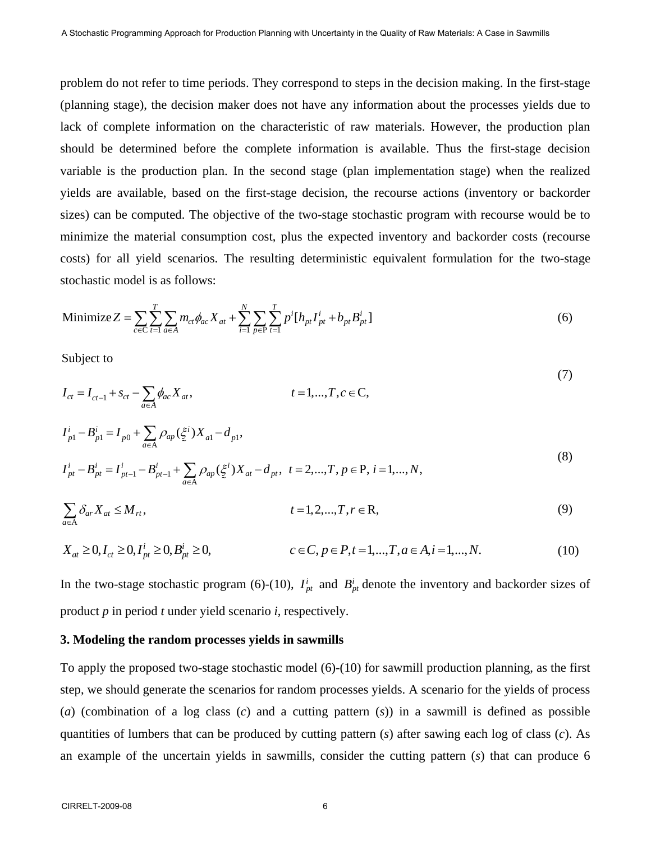problem do not refer to time periods. They correspond to steps in the decision making. In the first-stage (planning stage), the decision maker does not have any information about the processes yields due to lack of complete information on the characteristic of raw materials. However, the production plan should be determined before the complete information is available. Thus the first-stage decision variable is the production plan. In the second stage (plan implementation stage) when the realized yields are available, based on the first-stage decision, the recourse actions (inventory or backorder sizes) can be computed. The objective of the two-stage stochastic program with recourse would be to minimize the material consumption cost, plus the expected inventory and backorder costs (recourse costs) for all yield scenarios. The resulting deterministic equivalent formulation for the two-stage stochastic model is as follows:

Minimize 
$$
Z = \sum_{c \in C} \sum_{t=1}^{T} \sum_{a \in A} m_{ct} \phi_{ac} X_{at} + \sum_{i=1}^{N} \sum_{p \in P} \sum_{t=1}^{T} p^{i} [h_{pt} I_{pt}^{i} + b_{pt} B_{pt}^{i}]
$$
 (6)

Subject to

$$
I_{ct} = I_{ct-1} + s_{ct} - \sum_{a \in A} \phi_{ac} X_{at}, \qquad t = 1,...,T, c \in C,
$$
  
\n
$$
I_{p1}^{i} - B_{p1}^{i} = I_{p0} + \sum_{a \in A} \rho_{ap} (\xi^{i}) X_{a1} - d_{p1},
$$
  
\n
$$
I_{pt}^{i} - B_{pt}^{i} = I_{pt-1}^{i} - B_{pt-1}^{i} + \sum_{a \in A} \rho_{ap} (\xi^{i}) X_{at} - d_{pt}, \ t = 2,...,T, p \in P, i = 1,...,N,
$$
  
\n
$$
\sum_{a \in A} \delta_{ar} X_{at} \leq M_{rt}, \qquad t = 1, 2,...,T, r \in R,
$$
\n(9)

$$
X_{at} \ge 0, I_{ct} \ge 0, I_{pt}^{i} \ge 0, B_{pt}^{i} \ge 0, \qquad c \in C, p \in P, t = 1, ..., T, a \in A, i = 1, ..., N.
$$
 (10)

In the two-stage stochastic program (6)-(10),  $I_{pt}^{i}$  and  $B_{pt}^{i}$  denote the inventory and backorder sizes of product *p* in period *t* under yield scenario *i*, respectively.

# **3. Modeling the random processes yields in sawmills**

To apply the proposed two-stage stochastic model (6)-(10) for sawmill production planning, as the first step, we should generate the scenarios for random processes yields. A scenario for the yields of process (*a*) (combination of a log class (*c*) and a cutting pattern (*s*)) in a sawmill is defined as possible quantities of lumbers that can be produced by cutting pattern (*s*) after sawing each log of class (*c*). As an example of the uncertain yields in sawmills, consider the cutting pattern (*s*) that can produce 6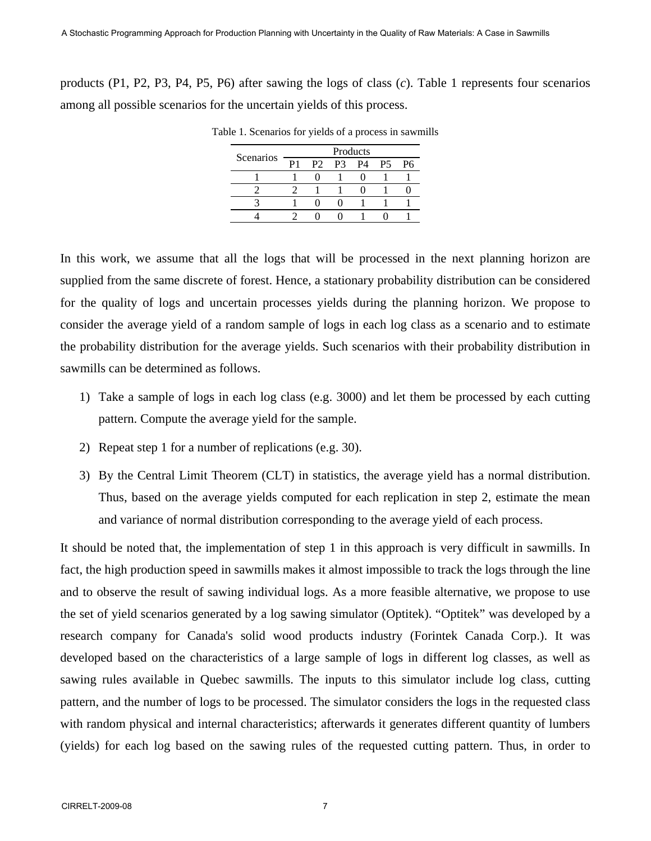products (P1, P2, P3, P4, P5, P6) after sawing the logs of class (*c*). Table 1 represents four scenarios among all possible scenarios for the uncertain yields of this process.

| Scenarios | Products |  |                                              |  |           |           |  |  |  |  |  |  |
|-----------|----------|--|----------------------------------------------|--|-----------|-----------|--|--|--|--|--|--|
|           | P1       |  | P <sub>2</sub> P <sub>3</sub> P <sub>4</sub> |  | <b>P5</b> | <b>P6</b> |  |  |  |  |  |  |
|           |          |  |                                              |  |           |           |  |  |  |  |  |  |
|           |          |  |                                              |  |           |           |  |  |  |  |  |  |
|           |          |  |                                              |  |           |           |  |  |  |  |  |  |
|           |          |  |                                              |  |           |           |  |  |  |  |  |  |
|           |          |  |                                              |  |           |           |  |  |  |  |  |  |

Table 1. Scenarios for yields of a process in sawmills

In this work, we assume that all the logs that will be processed in the next planning horizon are supplied from the same discrete of forest. Hence, a stationary probability distribution can be considered for the quality of logs and uncertain processes yields during the planning horizon. We propose to consider the average yield of a random sample of logs in each log class as a scenario and to estimate the probability distribution for the average yields. Such scenarios with their probability distribution in sawmills can be determined as follows.

- 1) Take a sample of logs in each log class (e.g. 3000) and let them be processed by each cutting pattern. Compute the average yield for the sample.
- 2) Repeat step 1 for a number of replications (e.g. 30).
- 3) By the Central Limit Theorem (CLT) in statistics, the average yield has a normal distribution. Thus, based on the average yields computed for each replication in step 2, estimate the mean and variance of normal distribution corresponding to the average yield of each process.

It should be noted that, the implementation of step 1 in this approach is very difficult in sawmills. In fact, the high production speed in sawmills makes it almost impossible to track the logs through the line and to observe the result of sawing individual logs. As a more feasible alternative, we propose to use the set of yield scenarios generated by a log sawing simulator (Optitek). "Optitek" was developed by a research company for Canada's solid wood products industry (Forintek Canada Corp.). It was developed based on the characteristics of a large sample of logs in different log classes, as well as sawing rules available in Quebec sawmills. The inputs to this simulator include log class, cutting pattern, and the number of logs to be processed. The simulator considers the logs in the requested class with random physical and internal characteristics; afterwards it generates different quantity of lumbers (yields) for each log based on the sawing rules of the requested cutting pattern. Thus, in order to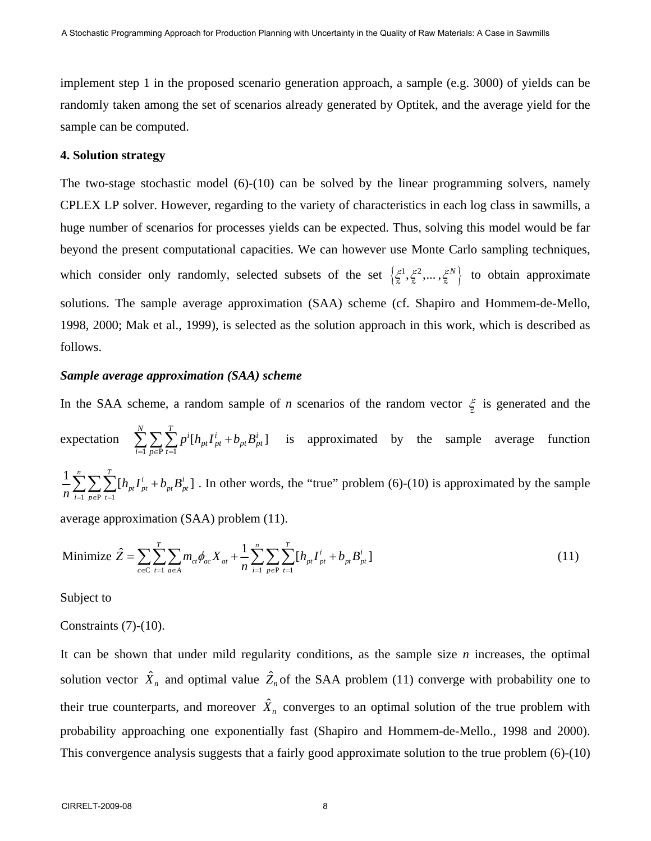implement step 1 in the proposed scenario generation approach, a sample (e.g. 3000) of yields can be randomly taken among the set of scenarios already generated by Optitek, and the average yield for the sample can be computed.

# **4. Solution strategy**

The two-stage stochastic model  $(6)-(10)$  can be solved by the linear programming solvers, namely CPLEX LP solver. However, regarding to the variety of characteristics in each log class in sawmills, a huge number of scenarios for processes yields can be expected. Thus, solving this model would be far beyond the present computational capacities. We can however use Monte Carlo sampling techniques, which consider only randomly, selected subsets of the set  $\left\{\xi^1, \xi^2, \dots, \xi^N\right\}$  to obtain approximate solutions. The sample average approximation (SAA) scheme (cf. Shapiro and Hommem-de-Mello, 1998, 2000; Mak et al., 1999), is selected as the solution approach in this work, which is described as follows.

## *Sample average approximation (SAA) scheme*

In the SAA scheme, a random sample of *n* scenarios of the random vector  $\xi$  is generated and the  $\tilde{a}$ expectation  $\overline{1}$   $\overline{p \in P}$   $\overline{t=1}$  $\sum_{i=1}^{N}\sum_{p\in\text{P}}\sum_{t=1}^{T}p^{i}[h_{pt}I_{pt}^{i}+b_{pt}B_{pt}^{i}]$  $\sum_{i=1} \sum_{p \in P} \sum_{t=1} p^{i} [h_{pt} I_{pt}^{i} + b_{pt} B_{pt}^{i}]$  is approximated by the sample average function  $1 p \in P$   $t=1$  $\frac{1}{n} \sum_{i=1}^{n} \sum_{j=1}^{n} [h_{nl} I_{nl}^{i} + b_{nl} B_{nl}^{i}]$  $p_t \cdot p_t \cdot \nu_{pt} \boldsymbol{\nu}_{pt}$  $i=1$   $p \in P$  t  $h_{nt}I_{nt}^i + b_{nt}B$  $\frac{1}{n} \sum_{i=1}^n \sum_{p \in P} \sum_{t=1} [h_{p} I_{pt}^i + b_{pt} B_{pt}^i]$ . In other words, the "true" problem (6)-(10) is approximated by the sample

average approximation (SAA) problem (11).

Minimize 
$$
\hat{Z} = \sum_{c \in C} \sum_{t=1}^{T} \sum_{a \in A} m_{ct} \phi_{ac} X_{at} + \frac{1}{n} \sum_{i=1}^{n} \sum_{p \in P} \sum_{t=1}^{T} [h_{pt} I_{pt}^{i} + b_{pt} B_{pt}^{i}]
$$
 (11)

Subject to

### Constraints (7)-(10).

It can be shown that under mild regularity conditions, as the sample size *n* increases, the optimal solution vector  $\hat{X}_n$  and optimal value  $\hat{Z}_n$  of the SAA problem (11) converge with probability one to their true counterparts, and moreover  $\hat{X}_n$  converges to an optimal solution of the true problem with probability approaching one exponentially fast (Shapiro and Hommem-de-Mello., 1998 and 2000). This convergence analysis suggests that a fairly good approximate solution to the true problem (6)-(10)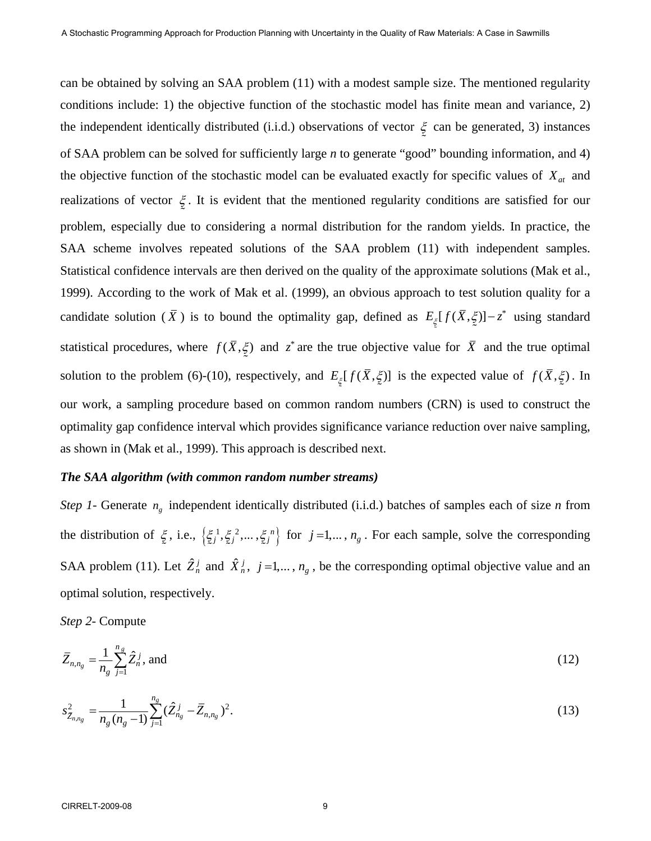can be obtained by solving an SAA problem (11) with a modest sample size. The mentioned regularity conditions include: 1) the objective function of the stochastic model has finite mean and variance, 2) the independent identically distributed (i.i.d.) observations of vector  $\xi$  can be generated, 3) instances  $\tilde{ }$ of SAA problem can be solved for sufficiently large *n* to generate "good" bounding information, and 4) the objective function of the stochastic model can be evaluated exactly for specific values of  $X_{at}$  and realizations of vector ξ  $\tilde{ }$ . It is evident that the mentioned regularity conditions are satisfied for our problem, especially due to considering a normal distribution for the random yields. In practice, the SAA scheme involves repeated solutions of the SAA problem (11) with independent samples. Statistical confidence intervals are then derived on the quality of the approximate solutions (Mak et al., 1999). According to the work of Mak et al. (1999), an obvious approach to test solution quality for a candidate solution ( $\bar{X}$ ) is to bound the optimality gap, defined as  $E_{\xi}[f(\bar{X}, \xi)] - z^*$  using standard statistical procedures, where  $f(\bar{X}, \xi)$  and  $z^*$  are the true objective value for  $\bar{X}$  and the true optimal solution to the problem (6)-(10), respectively, and  $E_{\xi}[f(\bar{X}, \xi)]$  is the expected value of  $f(\bar{X}, \xi)$ . In our work, a sampling procedure based on common random numbers (CRN) is used to construct the optimality gap confidence interval which provides significance variance reduction over naive sampling, as shown in (Mak et al., 1999). This approach is described next.

#### *The SAA algorithm (with common random number streams)*

*Step 1-* Generate *ng* independent identically distributed (i.i.d.) batches of samples each of size *n* from the distribution of  $\xi$ , i.e.,  $\left\{\xi_i^1, \xi_i^2, \dots, \xi_j^n\right\}$  for  $j = 1, \dots, n_g$ . For each sample, solve the corresponding  $\tilde{ }$ SAA problem (11). Let  $\hat{Z}_n^j$  and  $\hat{X}_n^j$ ,  $j = 1,..., n_g$ , be the corresponding optimal objective value and an optimal solution, respectively.

*Step 2-* Compute

$$
\bar{Z}_{n,n_g} = \frac{1}{n_g} \sum_{j=1}^{n_g} \hat{Z}_n^j, \text{ and } (12)
$$

$$
s_{\bar{Z}_{n,n_g}}^2 = \frac{1}{n_g(n_g-1)} \sum_{j=1}^{n_g} (\hat{Z}_{n_g}^j - \bar{Z}_{n,n_g})^2.
$$
 (13)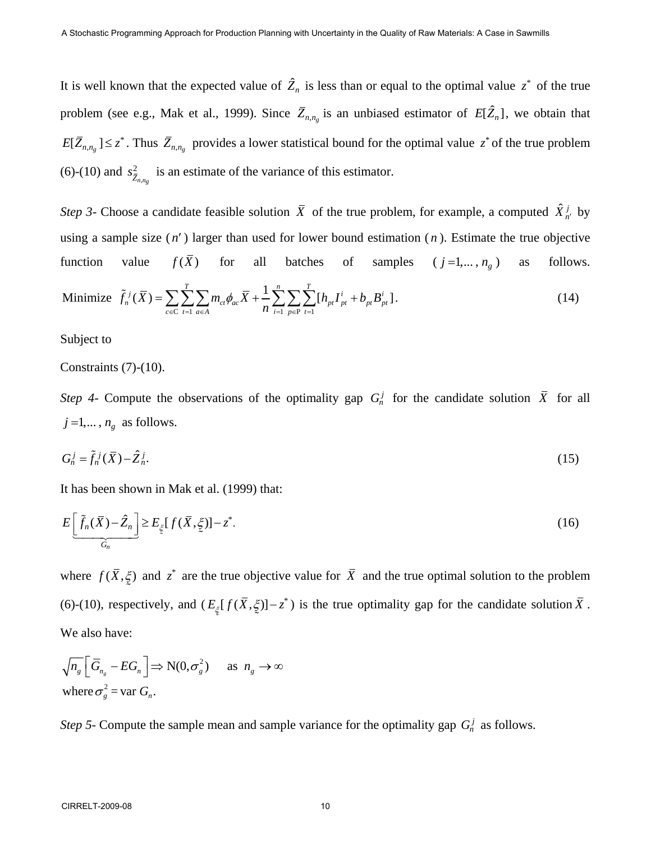It is well known that the expected value of  $\hat{Z}_n$  is less than or equal to the optimal value  $z^*$  of the true problem (see e.g., Mak et al., 1999). Since  $\overline{Z}_{n,n_g}$  is an unbiased estimator of  $E[\hat{Z}_n]$ , we obtain that  $E[\bar{Z}_{n,n_g}] \leq z^*$ . Thus  $\bar{Z}_{n,n_g}$  provides a lower statistical bound for the optimal value  $z^*$  of the true problem (6)-(10) and  $s^2_{\bar{Z}_{n,n_g}}$  is an estimate of the variance of this estimator.

*Step 3*- Choose a candidate feasible solution  $\bar{X}$  of the true problem, for example, a computed  $\hat{X}_{n'}^j$  by using a sample size ( *n*′ ) larger than used for lower bound estimation ( *n* ). Estimate the true objective function value  $f(\bar{X})$  for all batches of samples  $(j=1,..., n_g)$  as follows.

Minimize 
$$
\tilde{f}_n^j(\bar{X}) = \sum_{c \in C} \sum_{t=1}^T \sum_{a \in A} m_{ct} \phi_{ac} \bar{X} + \frac{1}{n} \sum_{i=1}^n \sum_{p \in P} \sum_{t=1}^T [h_{pt} I_{pt}^i + b_{pt} B_{pt}^i].
$$
 (14)

Subject to

Constraints (7)-(10).

*Step 4-* Compute the observations of the optimality gap  $G_n^j$  for the candidate solution  $\overline{X}$  for all  $j = 1, \ldots, n_g$  as follows.

$$
G_n^j = \tilde{f}_n^j(\bar{X}) - \hat{Z}_n^j. \tag{15}
$$

It has been shown in Mak et al. (1999) that:

$$
E\left[\tilde{f}_n(\bar{X}) - \hat{Z}_n\right] \ge E_{\xi}[f(\bar{X}, \xi)] - z^*.
$$
\n(16)

where  $f(\bar{X}, \xi)$  and  $z^*$  are the true objective value for  $\bar{X}$  and the true optimal solution to the problem (6)-(10), respectively, and  $(E_{\xi}[f(\bar{X}, \xi)] - z^*)$  is the true optimality gap for the candidate solution  $\bar{X}$ . We also have:

$$
\sqrt{n_g} \left[ \overline{G}_{n_g} - EG_n \right] \Rightarrow N(0, \sigma_g^2) \quad \text{as } n_g \to \infty
$$
  
where  $\sigma_g^2 = \text{var } G_n$ .

*Step 5*- Compute the sample mean and sample variance for the optimality gap  $G_n^j$  as follows.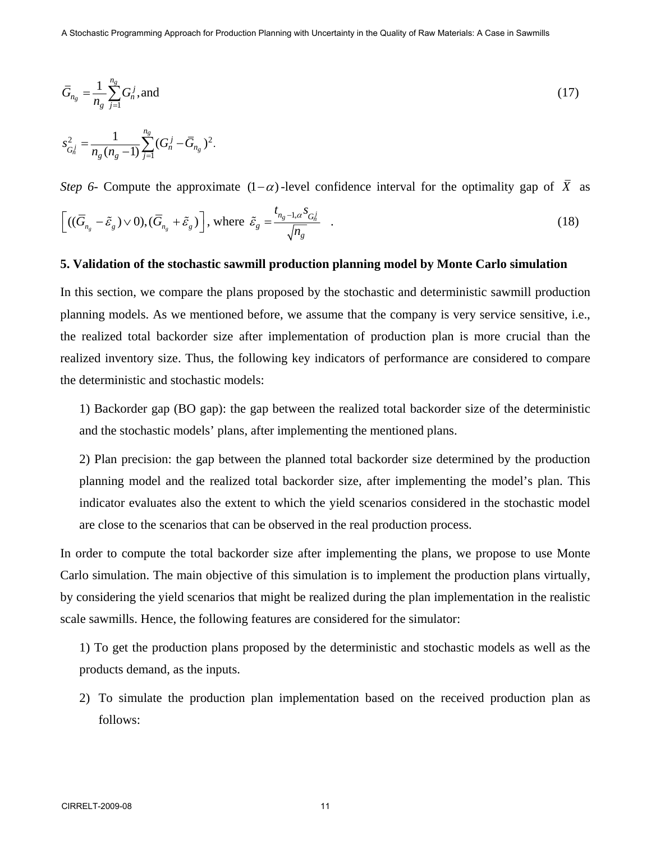$$
\bar{G}_{n_g} = \frac{1}{n_g} \sum_{j=1}^{n_g} G_n^j, \text{and} \tag{17}
$$

$$
s_{G_n^j}^2 = \frac{1}{n_g (n_g - 1)} \sum_{j=1}^{n_g} (G_n^j - \overline{G}_{n_g})^2.
$$

*Step 6*- Compute the approximate  $(1-\alpha)$ -level confidence interval for the optimality gap of  $\overline{X}$  as

$$
\left[ ((\overline{G}_{n_g} - \tilde{\varepsilon}_g) \vee 0), (\overline{G}_{n_g} + \tilde{\varepsilon}_g) \right], \text{ where } \tilde{\varepsilon}_g = \frac{t_{n_g - 1, \alpha} s_{G_n^j}}{\sqrt{n_g}} \quad . \tag{18}
$$

#### **5. Validation of the stochastic sawmill production planning model by Monte Carlo simulation**

In this section, we compare the plans proposed by the stochastic and deterministic sawmill production planning models. As we mentioned before, we assume that the company is very service sensitive, i.e., the realized total backorder size after implementation of production plan is more crucial than the realized inventory size. Thus, the following key indicators of performance are considered to compare the deterministic and stochastic models:

1) Backorder gap (BO gap): the gap between the realized total backorder size of the deterministic and the stochastic models' plans, after implementing the mentioned plans.

2) Plan precision: the gap between the planned total backorder size determined by the production planning model and the realized total backorder size, after implementing the model's plan. This indicator evaluates also the extent to which the yield scenarios considered in the stochastic model are close to the scenarios that can be observed in the real production process.

In order to compute the total backorder size after implementing the plans, we propose to use Monte Carlo simulation. The main objective of this simulation is to implement the production plans virtually, by considering the yield scenarios that might be realized during the plan implementation in the realistic scale sawmills. Hence, the following features are considered for the simulator:

1) To get the production plans proposed by the deterministic and stochastic models as well as the products demand, as the inputs.

2) To simulate the production plan implementation based on the received production plan as follows: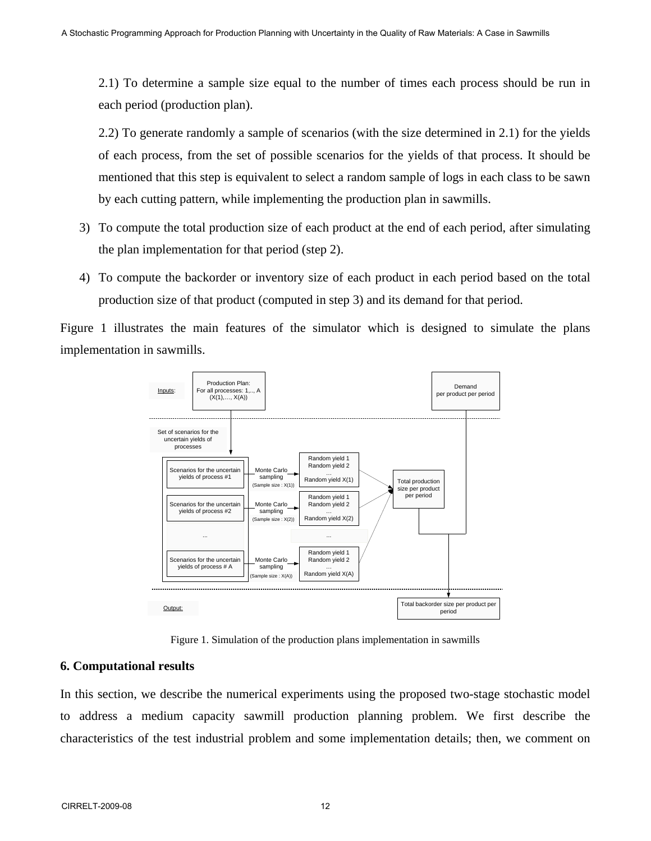2.1) To determine a sample size equal to the number of times each process should be run in each period (production plan).

 2.2) To generate randomly a sample of scenarios (with the size determined in 2.1) for the yields of each process, from the set of possible scenarios for the yields of that process. It should be mentioned that this step is equivalent to select a random sample of logs in each class to be sawn by each cutting pattern, while implementing the production plan in sawmills.

- 3) To compute the total production size of each product at the end of each period, after simulating the plan implementation for that period (step 2).
- 4) To compute the backorder or inventory size of each product in each period based on the total production size of that product (computed in step 3) and its demand for that period.

Figure 1 illustrates the main features of the simulator which is designed to simulate the plans implementation in sawmills.



Figure 1. Simulation of the production plans implementation in sawmills

# **6. Computational results**

In this section, we describe the numerical experiments using the proposed two-stage stochastic model to address a medium capacity sawmill production planning problem. We first describe the characteristics of the test industrial problem and some implementation details; then, we comment on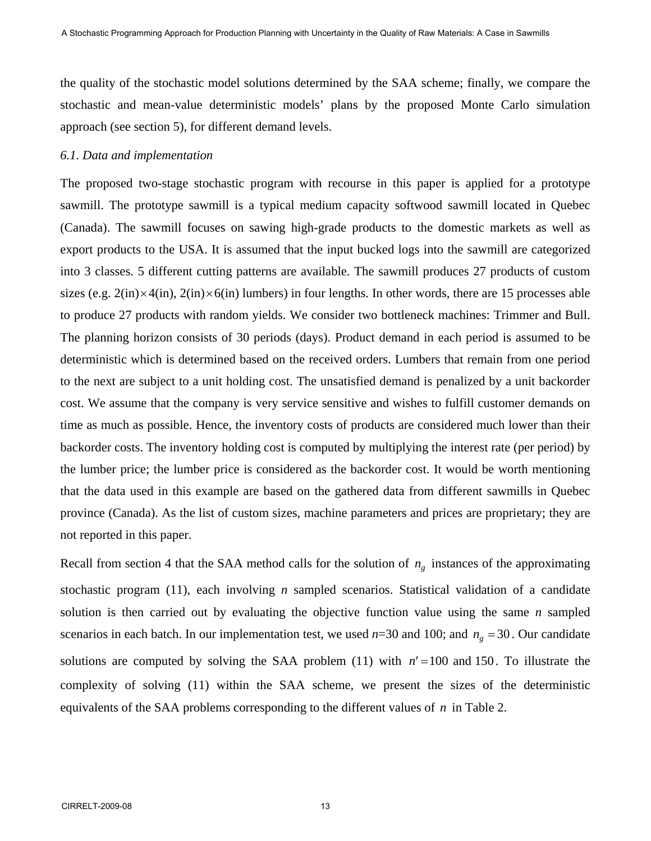the quality of the stochastic model solutions determined by the SAA scheme; finally, we compare the stochastic and mean-value deterministic models' plans by the proposed Monte Carlo simulation approach (see section 5), for different demand levels.

#### *6.1. Data and implementation*

The proposed two-stage stochastic program with recourse in this paper is applied for a prototype sawmill. The prototype sawmill is a typical medium capacity softwood sawmill located in Quebec (Canada). The sawmill focuses on sawing high-grade products to the domestic markets as well as export products to the USA. It is assumed that the input bucked logs into the sawmill are categorized into 3 classes. 5 different cutting patterns are available. The sawmill produces 27 products of custom sizes (e.g.  $2(in)\times4(in)$ ,  $2(in)\times6(in)$  lumbers) in four lengths. In other words, there are 15 processes able to produce 27 products with random yields. We consider two bottleneck machines: Trimmer and Bull. The planning horizon consists of 30 periods (days). Product demand in each period is assumed to be deterministic which is determined based on the received orders. Lumbers that remain from one period to the next are subject to a unit holding cost. The unsatisfied demand is penalized by a unit backorder cost. We assume that the company is very service sensitive and wishes to fulfill customer demands on time as much as possible. Hence, the inventory costs of products are considered much lower than their backorder costs. The inventory holding cost is computed by multiplying the interest rate (per period) by the lumber price; the lumber price is considered as the backorder cost. It would be worth mentioning that the data used in this example are based on the gathered data from different sawmills in Quebec province (Canada). As the list of custom sizes, machine parameters and prices are proprietary; they are not reported in this paper.

Recall from section 4 that the SAA method calls for the solution of  $n<sub>g</sub>$  instances of the approximating stochastic program (11), each involving *n* sampled scenarios. Statistical validation of a candidate solution is then carried out by evaluating the objective function value using the same *n* sampled scenarios in each batch. In our implementation test, we used  $n=30$  and 100; and  $n_g = 30$ . Our candidate solutions are computed by solving the SAA problem (11) with  $n' = 100$  and 150. To illustrate the complexity of solving (11) within the SAA scheme, we present the sizes of the deterministic equivalents of the SAA problems corresponding to the different values of *n* in Table 2.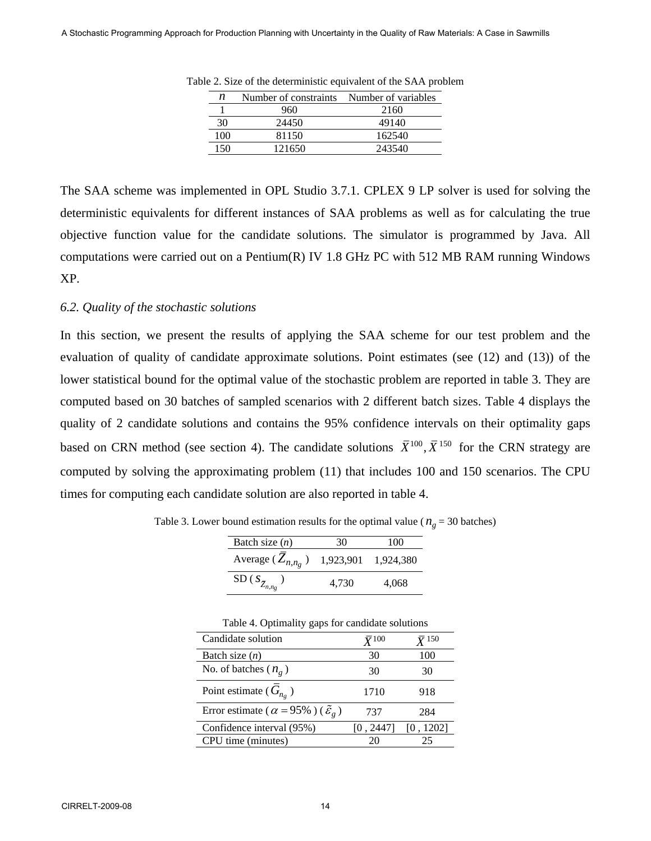| n   | Number of constraints | Number of variables |
|-----|-----------------------|---------------------|
|     | 960                   | 2160                |
| 30  | 24450                 | 49140               |
| 100 | 81150                 | 162540              |
| 150 | 121650                | 243540              |

Table 2. Size of the deterministic equivalent of the SAA problem

The SAA scheme was implemented in OPL Studio 3.7.1. CPLEX 9 LP solver is used for solving the deterministic equivalents for different instances of SAA problems as well as for calculating the true objective function value for the candidate solutions. The simulator is programmed by Java. All computations were carried out on a Pentium(R) IV 1.8 GHz PC with 512 MB RAM running Windows XP.

#### *6.2. Quality of the stochastic solutions*

In this section, we present the results of applying the SAA scheme for our test problem and the evaluation of quality of candidate approximate solutions. Point estimates (see (12) and (13)) of the lower statistical bound for the optimal value of the stochastic problem are reported in table 3. They are computed based on 30 batches of sampled scenarios with 2 different batch sizes. Table 4 displays the quality of 2 candidate solutions and contains the 95% confidence intervals on their optimality gaps based on CRN method (see section 4). The candidate solutions  $\bar{X}^{100}$ ,  $\bar{X}^{150}$  for the CRN strategy are computed by solving the approximating problem (11) that includes 100 and 150 scenarios. The CPU times for computing each candidate solution are also reported in table 4.

| Batch size $(n)$            | 30        | 100       |
|-----------------------------|-----------|-----------|
| Average $(Z_{n,n_p})$       | 1,923,901 | 1,924,380 |
| SD ( $S_{\bar Z_{n,n_g}}$ ) | 4.730     | 4,068     |

Table 3. Lower bound estimation results for the optimal value ( $n_g = 30$  batches)

| J O 1                                                          |                 |                          |
|----------------------------------------------------------------|-----------------|--------------------------|
| Candidate solution                                             | $\bar{Y}^{100}$ | $\bar{Y}$ <sup>150</sup> |
| Batch size $(n)$                                               | 30              | 100                      |
| No. of batches ( $n_g$ )                                       | 30              | 30                       |
| Point estimate ( $G_{n_o}$ )                                   | 1710            | 918                      |
| Error estimate ( $\alpha = 95\%$ ) ( $\tilde{\varepsilon}_g$ ) | 737             | 284                      |
| Confidence interval (95%)                                      | [0, 2447]       | [0, 1202]                |
| CPU time (minutes)                                             | 20              | 25                       |

Table 4. Optimality gaps for candidate solutions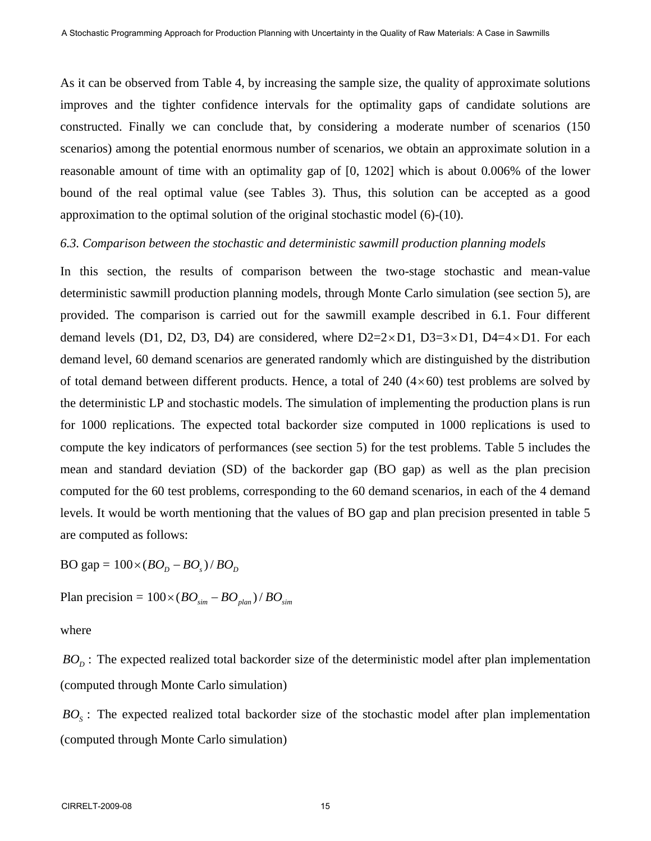As it can be observed from Table 4, by increasing the sample size, the quality of approximate solutions improves and the tighter confidence intervals for the optimality gaps of candidate solutions are constructed. Finally we can conclude that, by considering a moderate number of scenarios (150 scenarios) among the potential enormous number of scenarios, we obtain an approximate solution in a reasonable amount of time with an optimality gap of [0, 1202] which is about 0.006% of the lower bound of the real optimal value (see Tables 3). Thus, this solution can be accepted as a good approximation to the optimal solution of the original stochastic model (6)-(10).

#### *6.3. Comparison between the stochastic and deterministic sawmill production planning models*

In this section, the results of comparison between the two-stage stochastic and mean-value deterministic sawmill production planning models, through Monte Carlo simulation (see section 5), are provided. The comparison is carried out for the sawmill example described in 6.1. Four different demand levels (D1, D2, D3, D4) are considered, where  $D2=2\times D1$ ,  $D3=3\times D1$ ,  $D4=4\times D1$ . For each demand level, 60 demand scenarios are generated randomly which are distinguished by the distribution of total demand between different products. Hence, a total of  $240 (4 \times 60)$  test problems are solved by the deterministic LP and stochastic models. The simulation of implementing the production plans is run for 1000 replications. The expected total backorder size computed in 1000 replications is used to compute the key indicators of performances (see section 5) for the test problems. Table 5 includes the mean and standard deviation (SD) of the backorder gap (BO gap) as well as the plan precision computed for the 60 test problems, corresponding to the 60 demand scenarios, in each of the 4 demand levels. It would be worth mentioning that the values of BO gap and plan precision presented in table 5 are computed as follows:

 $BO$  gap =  $100 \times (BO<sub>p</sub> - BO<sub>s</sub>)/BO<sub>p</sub>$ 

Plan precision =  $100 \times (BO_{sim} - BO_{plan}) / BO_{sim}$ 

where

 $BO<sub>D</sub>$ : The expected realized total backorder size of the deterministic model after plan implementation (computed through Monte Carlo simulation)

 $BO<sub>s</sub>$ : The expected realized total backorder size of the stochastic model after plan implementation (computed through Monte Carlo simulation)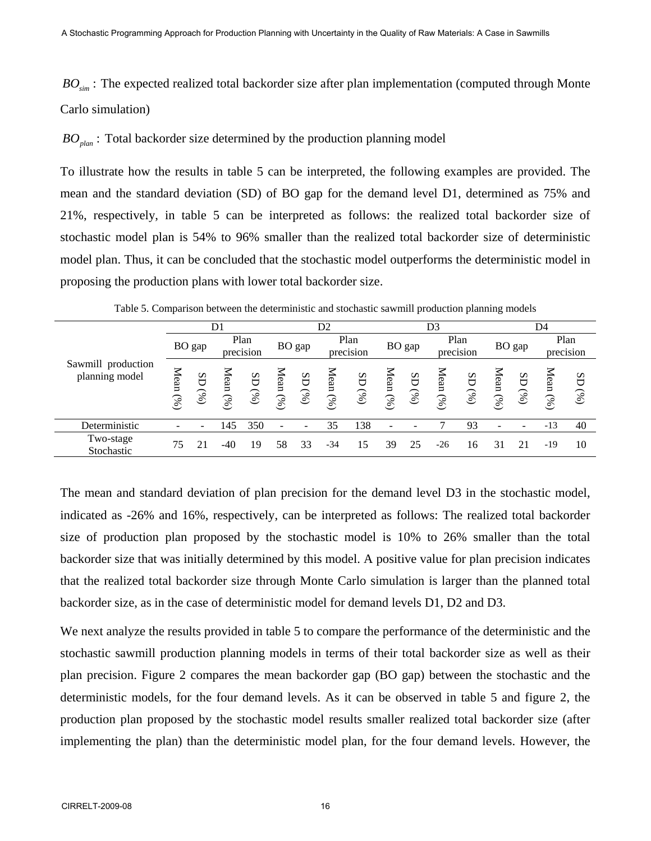BO<sub>sim</sub>: The expected realized total backorder size after plan implementation (computed through Monte Carlo simulation)

 $BO<sub>plan</sub>$ : Total backorder size determined by the production planning model

To illustrate how the results in table 5 can be interpreted, the following examples are provided. The mean and the standard deviation (SD) of BO gap for the demand level D1, determined as 75% and 21%, respectively, in table 5 can be interpreted as follows: the realized total backorder size of stochastic model plan is 54% to 96% smaller than the realized total backorder size of deterministic model plan. Thus, it can be concluded that the stochastic model outperforms the deterministic model in proposing the production plans with lower total backorder size.

| Sawmill production<br>planning model | D1        |            |                   | D <sub>2</sub> |              |            | D3                |            |                          |            | D4                   |            |              |            |                   |            |
|--------------------------------------|-----------|------------|-------------------|----------------|--------------|------------|-------------------|------------|--------------------------|------------|----------------------|------------|--------------|------------|-------------------|------------|
|                                      | BO gap    |            | Plan<br>precision |                | BO gap       |            | Plan<br>precision |            | BO gap                   |            | Plan<br>precision    |            | BO gap       |            | Plan<br>precision |            |
|                                      | Mean $(%$ | SD<br>(96) | Mean<br>(96)      | SD<br>(96)     | Aean<br>(96) | SD<br>(96) | Mean<br>(96)      | SD<br>(96) | Mean<br>(96)             | SD<br>(96) | $\Delta$ ean<br>(96) | SD<br>(96) | Mean<br>(96) | GS<br>(96) | Mean<br>(%)       | SD<br>(96) |
| Deterministic                        |           |            | 145               | 350            |              |            | 35                | 138        | $\overline{\phantom{a}}$ |            |                      | 93         |              |            | $-13$             | 40         |
| Two-stage<br>Stochastic              | 75        |            | -40               | 19             | 58           | 33         | $-34$             | 15         | 39                       | 25         | $-26$                | 16         | 31           | 21         | -19               | 10         |

Table 5. Comparison between the deterministic and stochastic sawmill production planning models

The mean and standard deviation of plan precision for the demand level D3 in the stochastic model, indicated as -26% and 16%, respectively, can be interpreted as follows: The realized total backorder size of production plan proposed by the stochastic model is 10% to 26% smaller than the total backorder size that was initially determined by this model. A positive value for plan precision indicates that the realized total backorder size through Monte Carlo simulation is larger than the planned total backorder size, as in the case of deterministic model for demand levels D1, D2 and D3.

We next analyze the results provided in table 5 to compare the performance of the deterministic and the stochastic sawmill production planning models in terms of their total backorder size as well as their plan precision. Figure 2 compares the mean backorder gap (BO gap) between the stochastic and the deterministic models, for the four demand levels. As it can be observed in table 5 and figure 2, the production plan proposed by the stochastic model results smaller realized total backorder size (after implementing the plan) than the deterministic model plan, for the four demand levels. However, the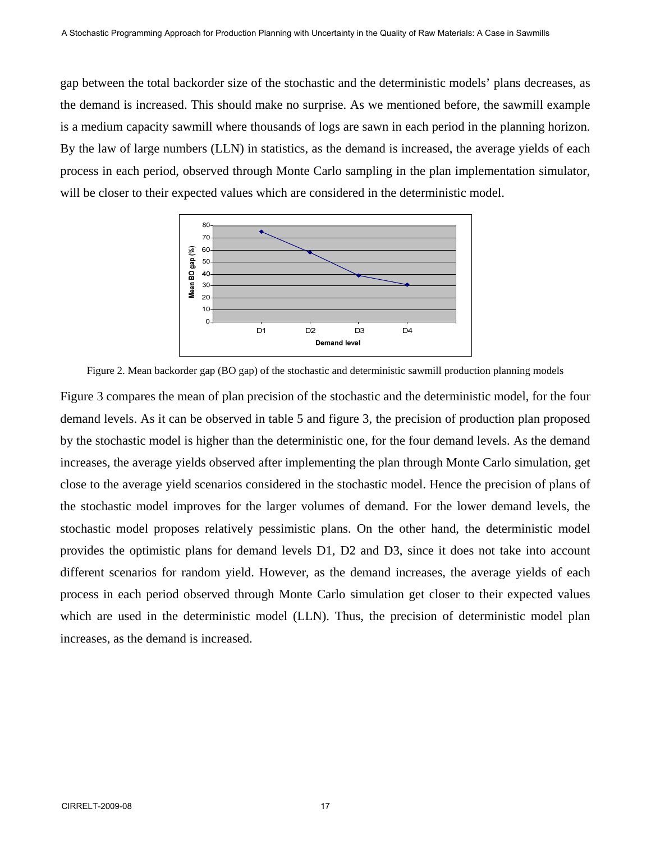gap between the total backorder size of the stochastic and the deterministic models' plans decreases, as the demand is increased. This should make no surprise. As we mentioned before, the sawmill example is a medium capacity sawmill where thousands of logs are sawn in each period in the planning horizon. By the law of large numbers (LLN) in statistics, as the demand is increased, the average yields of each process in each period, observed through Monte Carlo sampling in the plan implementation simulator, will be closer to their expected values which are considered in the deterministic model.



Figure 2. Mean backorder gap (BO gap) of the stochastic and deterministic sawmill production planning models

Figure 3 compares the mean of plan precision of the stochastic and the deterministic model, for the four demand levels. As it can be observed in table 5 and figure 3, the precision of production plan proposed by the stochastic model is higher than the deterministic one, for the four demand levels. As the demand increases, the average yields observed after implementing the plan through Monte Carlo simulation, get close to the average yield scenarios considered in the stochastic model. Hence the precision of plans of the stochastic model improves for the larger volumes of demand. For the lower demand levels, the stochastic model proposes relatively pessimistic plans. On the other hand, the deterministic model provides the optimistic plans for demand levels D1, D2 and D3, since it does not take into account different scenarios for random yield. However, as the demand increases, the average yields of each process in each period observed through Monte Carlo simulation get closer to their expected values which are used in the deterministic model (LLN). Thus, the precision of deterministic model plan increases, as the demand is increased.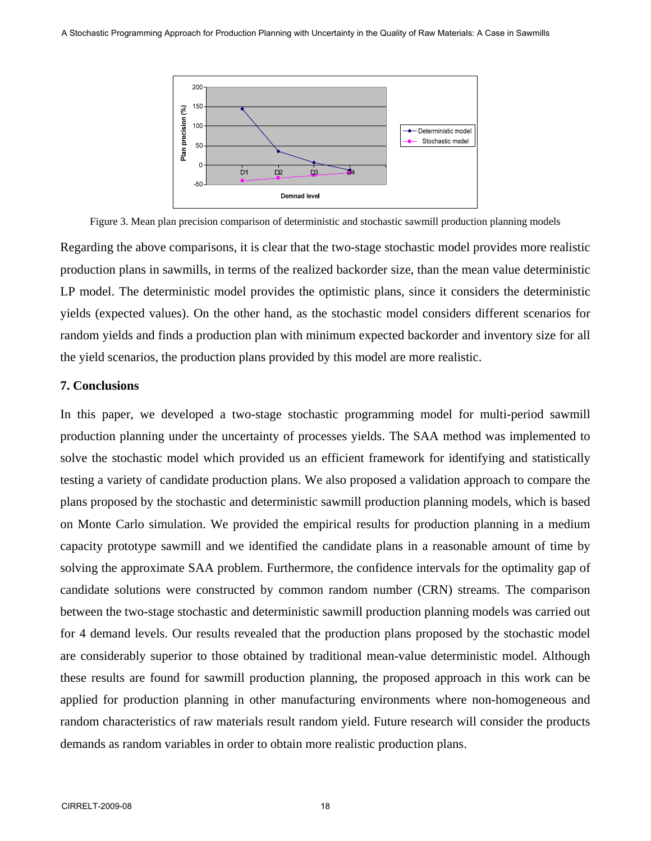

Figure 3. Mean plan precision comparison of deterministic and stochastic sawmill production planning models

Regarding the above comparisons, it is clear that the two-stage stochastic model provides more realistic production plans in sawmills, in terms of the realized backorder size, than the mean value deterministic LP model. The deterministic model provides the optimistic plans, since it considers the deterministic yields (expected values). On the other hand, as the stochastic model considers different scenarios for random yields and finds a production plan with minimum expected backorder and inventory size for all the yield scenarios, the production plans provided by this model are more realistic.

# **7. Conclusions**

In this paper, we developed a two-stage stochastic programming model for multi-period sawmill production planning under the uncertainty of processes yields. The SAA method was implemented to solve the stochastic model which provided us an efficient framework for identifying and statistically testing a variety of candidate production plans. We also proposed a validation approach to compare the plans proposed by the stochastic and deterministic sawmill production planning models, which is based on Monte Carlo simulation. We provided the empirical results for production planning in a medium capacity prototype sawmill and we identified the candidate plans in a reasonable amount of time by solving the approximate SAA problem. Furthermore, the confidence intervals for the optimality gap of candidate solutions were constructed by common random number (CRN) streams. The comparison between the two-stage stochastic and deterministic sawmill production planning models was carried out for 4 demand levels. Our results revealed that the production plans proposed by the stochastic model are considerably superior to those obtained by traditional mean-value deterministic model. Although these results are found for sawmill production planning, the proposed approach in this work can be applied for production planning in other manufacturing environments where non-homogeneous and random characteristics of raw materials result random yield. Future research will consider the products demands as random variables in order to obtain more realistic production plans.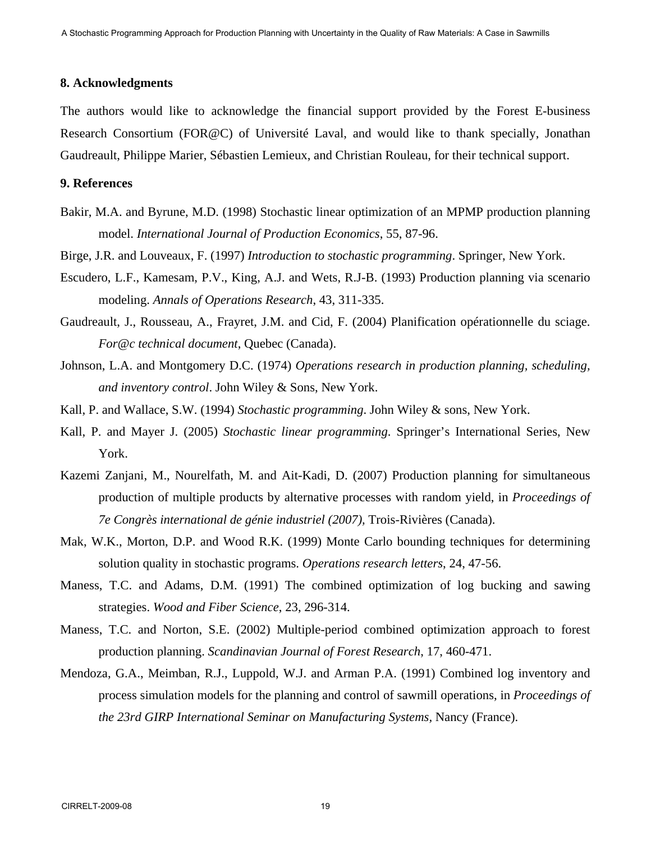#### **8. Acknowledgments**

The authors would like to acknowledge the financial support provided by the Forest E-business Research Consortium (FOR@C) of Université Laval, and would like to thank specially, Jonathan Gaudreault, Philippe Marier, Sébastien Lemieux, and Christian Rouleau, for their technical support.

# **9. References**

- Bakir, M.A. and Byrune, M.D. (1998) Stochastic linear optimization of an MPMP production planning model. *International Journal of Production Economics*, 55, 87-96.
- Birge, J.R. and Louveaux, F. (1997) *Introduction to stochastic programming*. Springer, New York.
- Escudero, L.F., Kamesam, P.V., King, A.J. and Wets, R.J-B. (1993) Production planning via scenario modeling. *Annals of Operations Research*, 43, 311-335.
- Gaudreault, J., Rousseau, A., Frayret, J.M. and Cid, F. (2004) Planification opérationnelle du sciage. *For@c technical document*, Quebec (Canada).
- Johnson, L.A. and Montgomery D.C. (1974) *Operations research in production planning, scheduling, and inventory control*. John Wiley & Sons, New York.
- Kall, P. and Wallace, S.W. (1994) *Stochastic programming*. John Wiley & sons, New York.
- Kall, P. and Mayer J. (2005) *Stochastic linear programming*. Springer's International Series, New York.
- Kazemi Zanjani, M., Nourelfath, M. and Ait-Kadi, D. (2007) Production planning for simultaneous production of multiple products by alternative processes with random yield, in *Proceedings of 7e Congrès international de génie industriel (2007),* Trois-Rivières (Canada).
- Mak, W.K., Morton, D.P. and Wood R.K. (1999) Monte Carlo bounding techniques for determining solution quality in stochastic programs. *Operations research letters*, 24, 47-56.
- Maness, T.C. and Adams, D.M. (1991) The combined optimization of log bucking and sawing strategies. *Wood and Fiber Science*, 23, 296-314.
- Maness, T.C. and Norton, S.E. (2002) Multiple-period combined optimization approach to forest production planning. *Scandinavian Journal of Forest Research*, 17, 460-471.
- Mendoza, G.A., Meimban, R.J., Luppold, W.J. and Arman P.A. (1991) Combined log inventory and process simulation models for the planning and control of sawmill operations, in *Proceedings of the 23rd GIRP International Seminar on Manufacturing Systems,* Nancy (France).